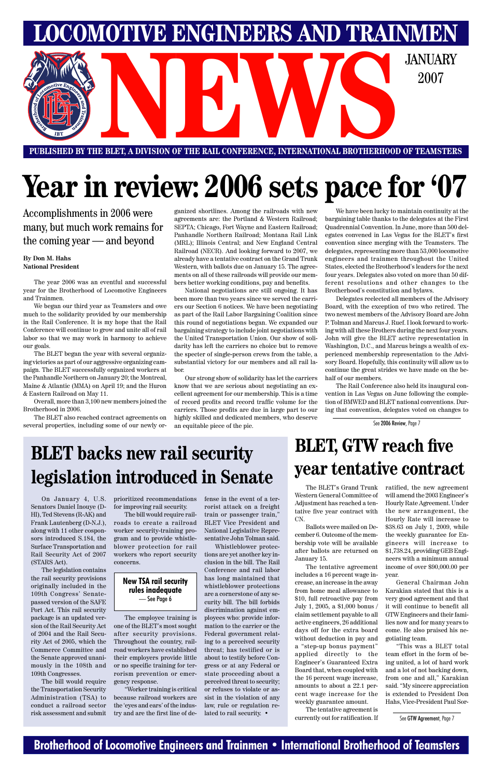#### **Brotherhood of Locomotive Engineers and Trainmen • International Brotherhood of Teamsters**

**PUBLISHED BY THE BLET, A DIVISION OF THE RAIL CONFERENCE, INTERNATIONAL BROTHERHOOD OF TEAMSTERS NEWSPACE AND DESCRIPTION OF THE RAIL CONFERENCE, INTERNATIONAL BROTHERHOOD OF TEAMSTER** 

**LOMOTIVE ENGINEERS AND TRAINMEN** 

2007

# **Year in review: 2006 sets pace for '07**

Accomplishments in 2006 were many, but much work remains for the coming year — and beyond

#### **By Don M. Hahs National President**

The year 2006 was an eventful and successful year for the Brotherhood of Locomotive Engineers and Trainmen.

We began our third year as Teamsters and owe much to the solidarity provided by our membership in the Rail Conference. It is my hope that the Rail Conference will continue to grow and unite all of rail labor so that we may work in harmony to achieve our goals.

The BLET began the year with several organizing victories as part of our aggressive organizing campaign. The BLET successfully organized workers at the Panhandle Northern on January 20; the Montreal, Maine & Atlantic (MMA) on April 19; and the Huron & Eastern Railroad on May 11.

Overall, more than 3,100 new members joined the Brotherhood in 2006.

The BLET also reached contract agreements on several properties, including some of our newly or-

ganized shortlines. Among the railroads with new agreements are: the Portland & Western Railroad; SEPTA; Chicago, Fort Wayne and Eastern Railroad; Panhandle Northern Railroad; Montana Rail Link (MRL); Illinois Central; and New England Central Railroad (NECR). And looking forward to 2007, we already have a tentative contract on the Grand Trunk Western, with ballots due on January 15. The agreements on all of these railroads will provide our members better working conditions, pay and benefits.

### **BLET backs new rail security BLET backs new rail security PLET**, we reach live **legislation introduced in Senate**

National negotiations are still ongoing. It has been more than two years since we served the carriers our Section 6 notices. We have been negotiating as part of the Rail Labor Bargaining Coalition since this round of negotiations began. We expanded our bargaining strategy to include joint negotiations with the United Transportation Union. Our show of solidarity has left the carriers no choice but to remove the specter of single-person crews from the table, a substantial victory for our members and all rail labor.

Our strong show of solidarity has let the carriers know that we are serious about negotiating an excellent agreement for our membership. This is a time of record profits and record traffic volume for the carriers. Those profits are due in large part to our highly skilled and dedicated members, who deserve an equitable piece of the pie.

We have been lucky to maintain continuity at the bargaining table thanks to the delegates at the First Quadrennial Convention. In June, more than 500 delegates convened in Las Vegas for the BLET's first convention since merging with the Teamsters. The delegates, representing more than 53,000 locomotive engineers and trainmen throughout the United States, elected the Brotherhood's leaders for the next four years. Delegates also voted on more than 50 different resolutions and other changes to the Brotherhood's constitution and bylaws.

Delegates reelected all members of the Advisory Board, with the exception of two who retired. The two newest members of the Advisory Board are John P. Tolman and Marcus J. Ruef. I look forward to working with all these Brothers during the next four years. John will give the BLET active representation in Washington, D.C., and Marcus brings a wealth of experienced membership representation to the Advisory Board. Hopefully, this continuity will allow us to continue the great strides we have made on the behalf of our members.

The Rail Conference also held its inaugural convention in Las Vegas on June following the completion of BMWED and BLET national conventions. During that convention, delegates voted on changes to

# **BLET, GTW reach five**

See 2006 Review, Page 7

The BLET's Grand Trunk Western General Committee of Adjustment has reached a tentative five year contract with CN.

Ballots were mailed on December 6. Outcome of the membership vote will be available after ballots are returned on January 15.

The tentative agreement includes a 16 percent wage increase, an increase in the away from home meal allowance to \$10, full retroactive pay from July 1, 2005, a \$1,000 bonus / claim settlement payable to all active engineers, 26 additional days off for the extra board without deduction in pay and a "step-up bonus payment" applied directly to the Engineer's Guaranteed Extra Board that, when coupled with the 16 percent wage increase, amounts to about a 22.1 percent wage increase for the weekly guarantee amount.

The tentative agreement is currently out for ratification. If ratified, the new agreement will amend the 2003 Engineer's Hourly Rate Agreement. Under the new arrangement, the Hourly Rate will increase to \$38.63 on July 1, 2009, while the weekly guarantee for Engineers will increase to \$1,738.24, providing GEB Engineers with a minimum annual income of over \$90,000.00 per

year.

General Chairman John Karakian stated that this is a very good agreement and that it will continue to benefit all GTW Engineers and their families now and for many years to come. He also praised his negotiating team.

"This was a BLET total team effort in the form of being united, a lot of hard work and a lot of not backing down, from one and all," Karakian said. "My sincere appreciation is extended to President Don Hahs, Vice-President Paul Sor-

See GTW Agreement, Page 7

On January 4, U.S. Senators Daniel Inouye (D-HI), Ted Stevens (R-AK) and Frank Lautenberg (D-N.J.), along with 11 other cosponsors introduced S.184, the Surface Transportation and Rail Security Act of 2007 (STARS Act).

The legislation contains

the rail security provisions originally included in the 109th Congress' Senatepassed version of the SAFE Port Act. This rail security package is an updated version of the Rail Security Act of 2004 and the Rail Security Act of 2005, which the Commerce Committee and the Senate approved unanimously in the 108th and 109th Congresses.

The bill would require the Transportation Security Administration (TSA) to conduct a railroad sector risk assessment and submit prioritized recommendations for improving rail security.

The bill would require railroads to create a railroad worker security-training program and to provide whistleblower protection for rail workers who report security concerns.

The employee training is one of the BLET's most sought after security provisions. Throughout the country, railroad workers have established their employers provide little or no specific training for terrorism prevention or emergency response.

"Worker training is critical because railroad workers are the 'eyes and ears' of the industry and are the first line of defense in the event of a terrorist attack on a freight train or passenger train," BLET Vice President and National Legislative Representative John Tolman said.

Whistleblower protections are yet another key inclusion in the bill. The Rail Conference and rail labor

has long maintained that whistleblower protections are a cornerstone of any security bill. The bill forbids discrimination against employees who: provide information to the carrier or the Federal government relating to a perceived security threat; has testified or is about to testify before Congress or at any Federal or state proceeding about a perceived threat to security; or refuses to violate or assist in the violation of any law, rule or regulation related to rail security. •

#### **New TSA rail security rules inadequate** — See Page 6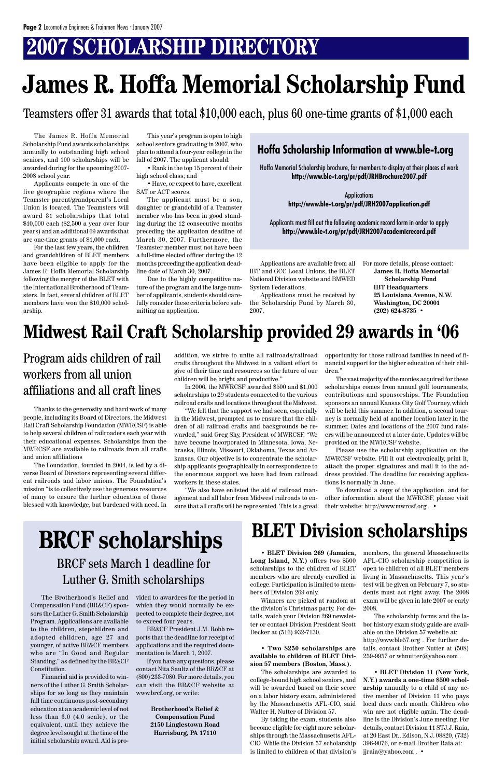### **2007 SCHOLARSHIP DIRECTORY**

The James R. Hoffa Memorial Scholarship Fund awards scholarships annually to outstanding high school seniors, and 100 scholarships will be awarded during for the upcoming 2007- 2008 school year.

Applicants compete in one of the five geographic regions where the Teamster parent/grandparent's Local Union is located. The Teamsters will award 31 scholarships that total \$10,000 each (\$2,500 a year over four years) and an additional 69 awards that are one-time grants of \$1,000 each.

For the last few years, the children and grandchildren of BLET members have been eligible to apply for the James R. Hoffa Memorial Scholarship following the merger of the BLET with the International Brotherhood of Teamsters. In fact, several children of BLET members have won the \$10,000 scholarship.

This year's program is open to high school seniors graduating in 2007, who plan to attend a four-year college in the fall of 2007. The applicant should:

• Rank in the top 15 percent of their high school class; and

• Have, or expect to have, excellent SAT or ACT scores.

The applicant must be a son, daughter or grandchild of a Teamster member who has been in good standing during the 12 consecutive months preceding the application deadline of March 30, 2007. Furthermore, the Teamster member must not have been a full-time elected officer during the 12 months preceding the application deadline date of March 30, 2007.

Due to the highly competitive nature of the program and the large number of applicants, students should carefully consider these criteria before submitting an application.

Applications are available from all IBT and GCC Local Unions, the BLET National Division website and BMWED System Federations.

Applications must be received by the Scholarship Fund by March 30, 2007.

## **James R. Hoffa Memorial Scholarship Fund**

For more details, please contact: **James R. Hoffa Memorial Scholarship Fund IBT Headquarters 25 Louisiana Avenue, N.W. Washington, DC 20001 (202) 624-8735 •**

Hoffa Memorial Scholarship brochure, for members to display at their places of work **http://www.ble-t.org/pr/pdf/JRHBrochure2007.pdf**

> Applications **http://www.ble-t.org/pr/pdf/JRH2007application.pdf**

Applicants must fill out the following academic record form in order to apply **http://www.ble-t.org/pr/pdf/JRH2007academicrecord.pdf**

#### **Hoffa Scholarship Information at www.ble-t.org**

Teamsters offer 31 awards that total \$10,000 each, plus 60 one-time grants of \$1,000 each

Thanks to the generosity and hard work of many people, including its Board of Directors, the Midwest Rail Craft Scholarship Foundation (MWRCSF) is able to help several children of railroaders each year with their educational expenses. Scholarships from the MWRCSF are available to railroads from all crafts and union affiliations

The Foundation, founded in 2004, is led by a diverse Board of Directors representing several different railroads and labor unions. The Foundation's mission "is to collectively use the generous resources of many to ensure the further education of those blessed with knowledge, but burdened with need. In addition, we strive to unite all railroads/railroad crafts throughout the Midwest in a valiant effort to give of their time and resources so the future of our children will be bright and productive."

In 2006, the MWRCSF awarded \$500 and \$1,000 scholarships to 29 students connected to the various railroad crafts and locations throughout the Midwest.

"We felt that the support we had seen, especially in the Midwest, prompted us to ensure that the children of all railroad crafts and backgrounds be rewarded," said Greg Shy, President of MWRCSF. "We have become incorporated in Minnesota, Iowa, Nebraska, Illinois, Missouri, Oklahoma, Texas and Arkansas. Our objective is to concentrate the scholarship applicants geographically in correspondence to the enormous support we have had from railroad workers in these states.

"We also have enlisted the aid of railroad management and all labor from Midwest railroads to ensure that all crafts will be represented. This is a great opportunity for those railroad families in need of financial support for the higher education of their children."

The vast majority of the monies acquired for these scholarships comes from annual golf tournaments, contributions and sponsorships. The Foundation sponsors an annual Kansas City Golf Tourney, which will be held this summer. In addition, a second tourney is normally held at another location later in the summer. Dates and locations of the 2007 fund raisers will be announced at a later date. Updates will be provided on the MWRCSF website.

Please use the scholarship application on the MWRCSF website. Fill it out electronically, print it, attach the proper signatures and mail it to the address provided. The deadline for receiving applications is normally in June.

To download a copy of the application, and for other information about the MWRCSF, please visit their website: http://www.mwrcsf.org . •

### **Midwest Rail Craft Scholarship provided 29 awards in '06**

### Program aids children of rail workers from all union affiliations and all craft lines

### **BLET Division scholarships**

**Long Island, N.Y.)** offers two \$500 AFL-CIO scholarship competition is scholarships to the children of BLET open to children of all BLET members members who are already enrolled in college. Participation is limited to members of Division 269 only. Winners are picked at random at the division's Christmas party. For details, watch your Division 269 newsletter or contact Division President Scott Decker at (516) 932-7130.

#### • **Two \$250 scholarships are available to children of BLET Division 57 members (Boston, Mass.).**

• **BLET Division 269 (Jamaica,** members, the general Massachusetts living in Massachusetts. This year's test will be given on February 7, so students must act right away. The 2008 exam will be given in late 2007 or early 2008.

The scholarships are awarded to college-bound high school seniors, and will be awarded based on their score on a labor history exam, administered by the Massachusetts AFL-CIO, said Walter H. Nutter of Division 57.

By taking the exam, students also become eligible for eight more scholarships through the Massachusetts AFL-CIO. While the Division 57 scholarship is limited to children of that division's

The scholarship forms and the labor history exam study guide are available on the Division 57 website at: http://www.ble57.org . For further details, contact Brother Nutter at (508) 259-9957 or whnutter@yahoo.com .

• **BLET Division 11 (New York, N.Y.) awards a one-time \$500 scholarship** annually to a child of any active member of Division 11 who pays local dues each month. Children who win are not eligible again. The deadline is the Division's June meeting. For details, contact Division 11 STJ.J. Raia, at 20 East Dr., Edison, N.J. 08820, (732) 396-9076, or e-mail Brother Raia at: jjraia@yahoo.com . •

### BRCF sets March 1 deadline for

### Luther G. Smith scholarships

The Brotherhood's Relief and Compensation Fund (BR&CF) sponsors the Luther G. Smith Scholarship Program. Applications are available to the children, stepchildren and adopted children, age 27 and younger, of active BR&CF members who are "In Good and Regular Standing," as defined by the BR&CF Constitution.

Financial aid is provided to winners of the Luther G. Smith Scholarships for so long as they maintain full time continuous post-secondary education at an academic level of not less than 3.0 (4.0 scale), or the equivalent, until they achieve the degree level sought at the time of the initial scholarship award. Aid is provided to awardees for the period in which they would normally be expected to complete their degree, not to exceed four years.

BR&CF President J.M. Robb reports that the deadline for receipt of applications and the required documentation is March 1, 2007.

If you have any questions, please contact Nita Saultz of the BR&CF at (800) 233-7080. For more details, you can visit the BR&CF website at www.brcf.org, or write:

> **Brotherhood's Relief & Compensation Fund 2150 Linglestown Road Harrisburg, PA 17110**

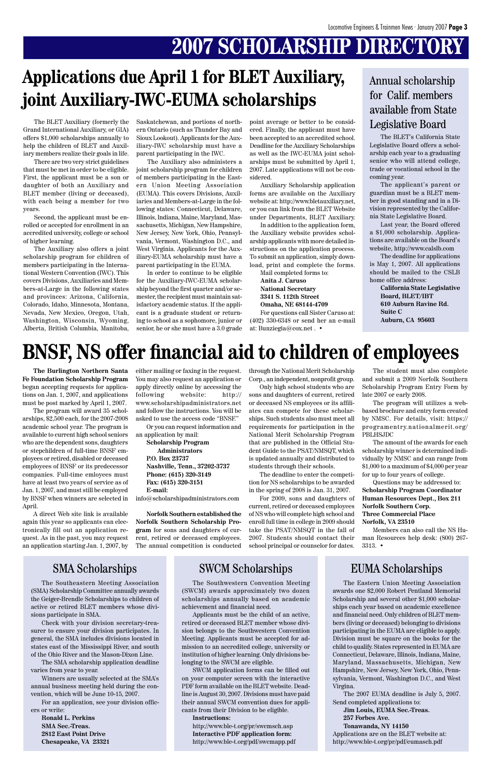## **2007 SCHOLARSHIP DIRECTORY**

The BLET Auxiliary (formerly the Grand International Auxiliary, or GIA) offers \$1,000 scholarships annually to help the children of BLET and Auxiliary members realize their goals in life.

There are two very strict guidelines that must be met in order to be eligible. First, the applicant must be a son or daughter of both an Auxiliary and BLET member (living or deceased), with each being a member for two years.

Second, the applicant must be enrolled or accepted for enrollment in an accredited university, college or school of higher learning.

The Auxiliary also offers a joint scholarship program for children of members participating in the International Western Convention (IWC). This covers Divisions, Auxiliaries and Members-at-Large in the following states and provinces: Arizona, California, Colorado, Idaho, Minnesota, Montana, Nevada, New Mexico, Oregon, Utah, Washington, Wisconsin, Wyoming, Alberta, British Columbia, Manitoba,

Saskatchewan, and portions of northern Ontario (such as Thunder Bay and Sioux Lookout). Applicants for the Auxiliary-IWC scholarship must have a parent participating in the IWC.

The Auxiliary also administers a joint scholarship program for children of members participating in the Eastern Union Meeting Association (EUMA). This covers Divisions, Auxiliaries and Members-at-Large in the following states: Connecticut, Delaware, Illinois, Indiana, Maine, Maryland, Massachusetts, Michigan, New Hampshire, New Jersey, New York, Ohio, Pennsylvania, Vermont, Washington D.C., and West Virginia. Applicants for the Auxiliary-EUMA scholarship must have a parent participating in the EUMA.

In order to continue to be eligible for the Auxiliary-IWC-EUMA scholarship beyond the first quarter and/or semester, the recipient must maintain satisfactory academic status. If the applicant is a graduate student or returning to school as a sophomore, junior or senior, he or she must have a 3.0 grade point average or better to be considered. Finally, the applicant must have been accepted to an accredited school. Deadline for the Auxiliary Scholarships as well as the IWC-EUMA joint scholarships must be submitted by April 1, 2007. Late applications will not be considered.

Auxiliary Scholarship application forms are available on the Auxiliary website at: http://www.bletauxiliary.net, or you can link from the BLET Website under Departments, BLET Auxiliary.

In addition to the application form, the Auxiliary website provides scholarship applicants with more detailed instructions on the application process. To submit an application, simply download, print and complete the forms.

Mail completed forms to: **Anita J. Caruso National Secretary 3341 S. 112th Street Omaha, NE 68144-4709**

For questions call Sister Caruso at: (402) 330-6348 or send her an e-mail at: Bunziegia@cox.net . •

### **Applications due April 1 for BLET Auxiliary, joint Auxiliary-IWC-EUMA scholarships**

The BLET's California State Legislative Board offers a scholarship each year to a graduating senior who will attend college, trade or vocational school in the coming year.

The applicant's parent or guardian must be a BLET member in good standing and in a Division represented by the California State Legislative Board.

Last year, the Board offered a \$1,000 scholarship. Applications are available on the Board's website, http://www.calslb.com

The deadline for applications is May 1, 2007. All applications should be mailed to the CSLB home office address:

> **California State Legislative Board, BLET/IBT 610 Auburn Ravine Rd. Suite C Auburn, CA 95603**

#### Annual scholarship for Calif. members available from State Legislative Board

**The Burlington Northern Santa Fe Foundation Scholarship Program** began accepting requests for applications on Jan. 1, 2007, and applications must be post marked by April 1, 2007.

The program will award 35 scholarships, \$2,500 each, for the 2007-2008 academic school year. The program is available to current high school seniors who are the dependent sons, daughters or stepchildren of full-time BNSF employees or retired, disabled or deceased employees of BNSF or its predecessor companies. Full-time emloyees must have at least two years of service as of Jan. 1, 2007, and must still be employed by BNSF when winners are selected in April.

A direct Web site link is available again this year so applicants can electronically fill out an application request. As in the past, you may request an application starting Jan. 1, 2007, by

### **BNSF, NS offer financial aid to children of employees**

either mailing or faxing in the request. You may also request an application or apply directly online by accessing the following website: http:// www.scholarshipadministrators.net and follow the instructions. You will be asked to use the access code "BNSF."

Or you can request information and an application by mail:

**Scholarship Program Administrators P.O. Box 23737 Nashville, Tenn., 37202-3737 Phone: (615) 320-3149 Fax: (615) 320-3151 E-mail:**

info@scholarshipadministrators.com

**Norfolk Southern established the Norfolk Southern Scholarship Program** for sons and daughters of current, retired or deceased employees. The annual competition is conducted through the National Merit Scholarship Corp., an independent, nonprofit group.

Only high school students who are sons and daughters of current, retired or deceased NS employees or its affiliates can compete for these scholarships. Such students also must meet all requirements for participation in the National Merit Scholarship Program that are published in the Official Student Guide to the PSAT/NMSQT, which is updated annually and distributed to students through their schools.

The deadline to enter the competition for NS scholarships to be awarded in the spring of 2008 is Jan. 31, 2007.

For 2009, sons and daughters of current, retired or deceased employees of NS who will complete high school and enroll full time in college in 2009 should take the PSAT/NMSQT in the fall of 2007. Students should contact their school principal or counselor for dates.

The student must also complete and submit a 2009 Norfolk Southern Scholarship Program Entry Form by late 2007 or early 2008.

The program will utilizes a webbased brochure and entry form created by NMSC. For details, visit: https:// programentry.nationalmerit.org/ PBLHSJDC

The amount of the awards for each scholarship winner is determined individually by NMSC and can range from \$1,000 to a maximum of \$4,000 per year for up to four years of college.

Questions may be addressed to: **Scholarship Program Coordinator Human Resources Dept., Box 211 Norfolk Southern Corp. Three Commercial Place Norfolk, VA 23510**

Members can also call the NS Human Resources help desk: (800) 267- 3313. •

#### SMA Scholarships SWCM Scholarships EUMA Scholarships

The Eastern Union Meeting Association awards one \$2,000 Robert Pentland Memorial Scholarship and several other \$1,000 scholarships each year based on academic excellence and financial need. Only children of BLET members (living or deceased) belonging to divisions participating in the EUMA are eligible to apply. Division must be square on the books for the child to qualify. States represented in EUMA are Connecticut, Delaware, Illinois, Indiana, Maine, Maryland, Massachusetts, Michigan, New Hampshire, New Jersey, New York, Ohio, Pennsylvania, Vermont, Washington D.C., and West Virgina.

The 2007 EUMA deadline is July 5, 2007. Send completed applications to: **Jim Louis, EUMA Sec.-Treas. 257 Forbes Ave. Tonawanda, NY 14150** Applications are on the BLET website at: http://www.ble-t.org/pr/pdf/eumasch.pdf

The Southeastern Meeting Association (SMA) Scholarship Committee annually awards the Geiger-Brendle Scholarships to children of active or retired BLET members whose divisions participate in SMA.

Check with your division secretary-treasurer to ensure your division participates. In general, the SMA includes divisions located in states east of the Mississippi River, and south of the Ohio River and the Mason-Dixon Line.

The SMA scholarship application deadline varies from year to year.

Winners are usually selected at the SMA's annual business meeting held during the convention, which will be June 10-15, 2007.

For an application, see your division officers or write:

**Ronald L. Perkins SMA Sec.-Treas. 2812 East Point Drive Chesapeake, VA 23321**

The Southwestern Convention Meeting (SWCM) awards approximately two dozen scholarships annually based on academic achievement and financial need.

Applicants must be the child of an active, retired or deceased BLET member whose division belongs to the Southwestern Convention Meeting. Applicants must be accepted for admission to an accredited college, university or institution of higher learning. Only divisions belonging to the SWCM are eligible.

SWCM application forms can be filled out on your computer screen with the interactive PDF form available on the BLET website. Deadline is August 30, 2007. Divisions must have paid their annual SWCM convention dues for applicants from their Division to be eligible.

#### **Instructions:**

http://www.ble-t.org/pr/swcmsch.asp **Interactive PDF application form:** http://www.ble-t.org/pdf/swcmapp.pdf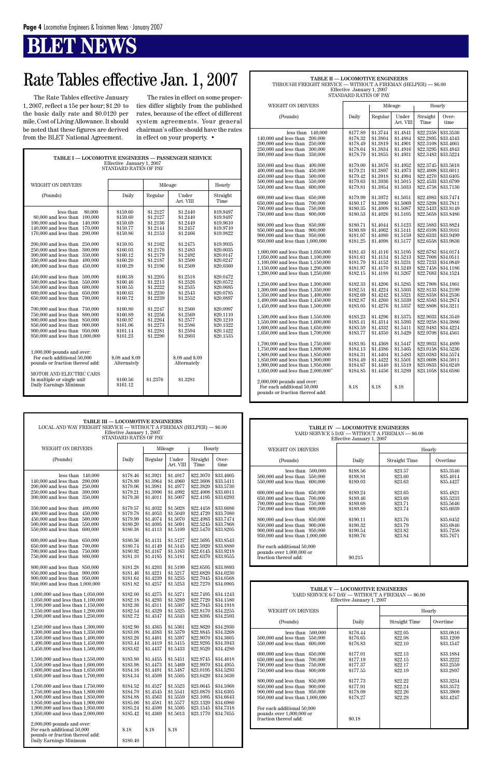### **BT NEWS**

### Rate Tables effective Jan. 1, 2007

| <b>TABLE I — LOCOMOTIVE ENGINEERS — PASSENGER SERVICE</b><br>Effective January 1, 2007<br><b>STANDARD RATES OF PAY</b>                                                                                                                                                                                                                                                                                                                                                                                                                                                                                                                                                                                                                                                                                                                                                                        |                                                                                                                                                                                                                                                                                            |                                                                                                                                                                                                                                                          |                                                                                                                                                                                                                                                                                            |                                                                                                                                                                                                                                                                               |  |  |  |  |  |  |
|-----------------------------------------------------------------------------------------------------------------------------------------------------------------------------------------------------------------------------------------------------------------------------------------------------------------------------------------------------------------------------------------------------------------------------------------------------------------------------------------------------------------------------------------------------------------------------------------------------------------------------------------------------------------------------------------------------------------------------------------------------------------------------------------------------------------------------------------------------------------------------------------------|--------------------------------------------------------------------------------------------------------------------------------------------------------------------------------------------------------------------------------------------------------------------------------------------|----------------------------------------------------------------------------------------------------------------------------------------------------------------------------------------------------------------------------------------------------------|--------------------------------------------------------------------------------------------------------------------------------------------------------------------------------------------------------------------------------------------------------------------------------------------|-------------------------------------------------------------------------------------------------------------------------------------------------------------------------------------------------------------------------------------------------------------------------------|--|--|--|--|--|--|
| <b>WEIGHT ON DRIVERS</b>                                                                                                                                                                                                                                                                                                                                                                                                                                                                                                                                                                                                                                                                                                                                                                                                                                                                      |                                                                                                                                                                                                                                                                                            | Hourly                                                                                                                                                                                                                                                   |                                                                                                                                                                                                                                                                                            |                                                                                                                                                                                                                                                                               |  |  |  |  |  |  |
| (Pounds)                                                                                                                                                                                                                                                                                                                                                                                                                                                                                                                                                                                                                                                                                                                                                                                                                                                                                      | Daily                                                                                                                                                                                                                                                                                      | Regular                                                                                                                                                                                                                                                  | Under<br>Art. VIII                                                                                                                                                                                                                                                                         | Straight<br>Time                                                                                                                                                                                                                                                              |  |  |  |  |  |  |
| less than<br>80,000<br>100,000<br>80,000 and less than<br>100,000 and less than<br>140,000<br>170,000<br>140,000 and less than<br>170,000 and less than<br>200,000<br>200,000 and less than<br>250,000<br>250,000 and less than<br>300,000<br>300,000 and less than<br>350,000<br>350,000 and less than<br>400.000<br>400,000 and less than<br>450,000<br>450,000 and less than<br>500,000<br>500,000 and less than<br>550,000<br>550,000 and less than<br>600,000<br>600,000 and less than<br>650,000<br>650,000 and less than<br>700,000<br>700,000 and less than<br>750,000<br>750,000 and less than<br>800,000<br>800,000 and less than<br>850,000<br>850,000 and less than<br>900,000<br>900,000 and less than<br>950,000<br>950,000 and less than 1,000,000<br>$1,000,000$ pounds and over:<br>For each additional 50,000<br>pounds or fraction thereof add:<br>MOTOR AND ELECTRIC CARS | \$159.60<br>\$159.60<br>\$159.69<br>\$159.77<br>\$159.86<br>\$159.95<br>\$160.03<br>\$160.12<br>\$160.20<br>\$160.29<br>\$160.38<br>\$160.46<br>\$160.55<br>\$160.63<br>\$160.72<br>\$160.80<br>\$160.89<br>\$160.97<br>\$161.06<br>\$161.14<br>\$161.23<br>\$.08 and \$.09<br>Alternately | \$1.2127<br>\$1.2127<br>\$1.2136<br>\$1.2144<br>\$1.2153<br>\$1.2162<br>\$1.2170<br>\$1.2179<br>\$1.2187<br>\$1.2196<br>\$1.2205<br>\$1.2213<br>\$1.2222<br>\$1.2230<br>\$1.2239<br>\$1.2247<br>\$1.2256<br>\$1.2264<br>\$1.2273<br>\$1.2281<br>\$1.2290 | \$1.2440<br>\$1.2440<br>\$1.2449<br>\$1.2457<br>\$1.2466<br>\$1.2475<br>\$1.2483<br>\$1.2492<br>\$1.2500<br>\$1.2509<br>\$1.2518<br>\$1.2526<br>\$1.2535<br>\$1.2543<br>\$1.2552<br>\$1.2560<br>\$1.2569<br>\$1.2577<br>\$1.2586<br>\$1.2594<br>\$1.2603<br>\$.08 and \$.09<br>Alternately | \$19.9497<br>\$19.9497<br>\$19.9610<br>\$19.9710<br>\$19.9822<br>\$19.9935<br>\$20.0035<br>\$20.0147<br>\$20.0247<br>\$20.0360<br>\$20.0472<br>\$20.0572<br>\$20.0685<br>\$20.0785<br>\$20.0897<br>\$20.0997<br>\$20.1110<br>\$20.1210<br>\$20.1322<br>\$20.1422<br>\$20.1535 |  |  |  |  |  |  |
| In multiple or single unit<br>Daily Earnings Minimun                                                                                                                                                                                                                                                                                                                                                                                                                                                                                                                                                                                                                                                                                                                                                                                                                                          | \$160.56<br>\$161.12                                                                                                                                                                                                                                                                       | \$1.2376                                                                                                                                                                                                                                                 | \$1.3281                                                                                                                                                                                                                                                                                   |                                                                                                                                                                                                                                                                               |  |  |  |  |  |  |

| TABLE II — LOCOMOTIVE ENGINEERS<br>THROUGH FREIGHT SERVICE — WITHOUT A FIREMAN (HELPER) — \$6.00                                                                                                                                                                                                                                                         | Effective January 1, 2007<br>STANDARD RATES OF PAY                                                                   |                                                                                                                      |                                                                                                                      |                                                                                                                                |                                                                                                                                |  |
|----------------------------------------------------------------------------------------------------------------------------------------------------------------------------------------------------------------------------------------------------------------------------------------------------------------------------------------------------------|----------------------------------------------------------------------------------------------------------------------|----------------------------------------------------------------------------------------------------------------------|----------------------------------------------------------------------------------------------------------------------|--------------------------------------------------------------------------------------------------------------------------------|--------------------------------------------------------------------------------------------------------------------------------|--|
| WEIGHT ON DRIVERS                                                                                                                                                                                                                                                                                                                                        |                                                                                                                      |                                                                                                                      | Mileage                                                                                                              | Hourly                                                                                                                         |                                                                                                                                |  |
| (Pounds)                                                                                                                                                                                                                                                                                                                                                 | Daily                                                                                                                | Regular                                                                                                              | Under<br>Art. VIII                                                                                                   | Straight<br>Time                                                                                                               | Over-<br>time                                                                                                                  |  |
| 140,000<br>less than<br>140,000 and less than<br>200,000<br>250,000<br>200,000 and less than<br>250,000 and less than<br>300,000<br>300,000 and less than<br>350,000<br>350,000 and less than<br>400,000<br>400,000 and less than<br>450,000<br>450,000 and less than<br>500,000<br>500,000 and less than<br>550,000<br>550,000 and less than<br>600,000 | \$177.89<br>\$178.32<br>\$178.49<br>\$178.64<br>\$178.79<br>\$179.00<br>\$179.21<br>\$179.42<br>\$179.63<br>\$179.81 | \$1.3744<br>\$1.3804<br>\$1.3819<br>\$1.3834<br>\$1.3855<br>\$1.3876<br>\$1.3897<br>\$1.3918<br>\$1.3936<br>\$1.3954 | \$1.4841<br>\$1.4884<br>\$1.4901<br>\$1.4916<br>\$1.4931<br>\$1.4952<br>\$1.4973<br>\$1.4994<br>\$1.5015<br>\$1.5033 | \$22.2358<br>\$22,2895<br>\$22.3108<br>\$22.3295<br>\$22.3483<br>\$22.3745<br>\$22,4008<br>\$22.4270<br>\$22.4533<br>\$22.4758 | \$33,3536<br>\$33.4343<br>\$33.4661<br>\$33.4943<br>\$33.5224<br>\$33.5618<br>\$33.6011<br>\$33.6405<br>\$33.6799<br>\$33.7136 |  |
| 600,000 and less than<br>650,000<br>650,000 and less than<br>700,000<br>750,000<br>700,000 and less than                                                                                                                                                                                                                                                 | \$179.99<br>\$180.17<br>\$180.35                                                                                     | \$1.3972<br>\$1.3990<br>\$1.4008                                                                                     | \$1.5051<br>\$1.5069<br>\$1.5087                                                                                     | \$22.4983<br>\$22.5208<br>\$22.5433                                                                                            | \$33.7474<br>\$33.7811<br>\$33.8149                                                                                            |  |

| 750,000 and less than 800,000      | \$180.53 | \$1.4026 | \$1.5105 | \$22.5658 | \$33.8486 |  |
|------------------------------------|----------|----------|----------|-----------|-----------|--|
| 800,000 and less than 850,000      | \$180.71 | \$1.4044 | \$1.5123 | \$22.5883 | \$33.8824 |  |
| 850,000 and less than<br>900.000   | \$180.89 | \$1.4062 | \$1.5141 | \$22.6108 | \$33.9161 |  |
| 900,000 and less than 950,000      | \$181.07 | \$1.4080 | \$1.5159 | \$22.6333 | \$33.9499 |  |
| 950,000 and less than 1,000,000    | \$181.25 | \$1.4098 | \$1.5177 | \$22.6558 | \$33.9836 |  |
|                                    |          |          |          |           |           |  |
| 1,000,000 and less than 1,050,000  | \$181.43 | \$1.4116 | \$1.5195 | \$22.6783 | \$34.0174 |  |
| 1,050,000 and less than 1,100,000  | \$181.61 | \$1.4134 | \$1.5213 | \$22.7008 | \$34.0511 |  |
| 1.100,000 and less than 1.150,000  | \$181.79 | \$1.4152 | \$1.5231 | \$22.7233 | \$34.0849 |  |
| 1,150,000 and less than 1,200,000  | \$181.97 | \$1.4170 | \$1.5249 | \$22.7458 | \$34.1186 |  |
| 1,200,000 and less than 1,250,000  | \$182.15 | \$1.4188 | \$1.5267 | \$22.7683 | \$34.1524 |  |
|                                    |          |          |          |           |           |  |
| 1,250,000 and less than 1,300,000  | \$182.33 | \$1.4206 | \$1.5285 | \$22.7908 | \$34.1861 |  |
| 1,300,000 and less than 1,350,000  | \$182.51 | \$1.4224 | \$1.5303 | \$22.8133 | \$34.2199 |  |
| 1,350,000 and less than 1,400,000  | \$182.69 | \$1.4242 | \$1.5321 | \$22.8358 | \$34.2536 |  |
| 1,400,000 and less than 1,450,000  | \$182.87 | \$1.4260 | \$1.5339 | \$22.8583 | \$34.2874 |  |
| 1,450,000 and less than 1,500,000  | \$183.05 | \$1.4276 | \$1.5357 | \$22.8808 | \$34.3211 |  |
|                                    |          |          |          |           |           |  |
| 1,500,000 and less than 1,550,000  | \$183.23 | \$1.4296 | \$1.5375 | \$22.9033 | \$34,3549 |  |
| 1,550,000 and less than 1,600,000  | \$183.41 | \$1.4314 | \$1.5393 | \$22.9258 | \$34.3886 |  |
| 1,600,000 and less than 1,650,000  | \$183.59 | \$1.4332 | \$1.5411 | \$22.9483 | \$34.4224 |  |
| 1,650,000 and less than 1,700,000  | \$183.77 | \$1.4350 | \$1.5429 | \$22.9708 | \$34.4561 |  |
|                                    |          |          |          |           |           |  |
| 1,700,000 and less than 1,750,000  | \$183.95 | \$1.4368 | \$1.5447 | \$22.9933 | \$34.4899 |  |
| 1.750,000 and less than 1.800,000  | \$184.13 | \$1.4386 | \$1.5465 | \$23.0158 | \$34.5236 |  |
| 1,800,000 and less than 1,850,000  | \$184.31 | \$1.4404 | \$1.5483 | \$23.0383 | \$34.5574 |  |
| 1,850,000 and less than 1,900,000  | \$184.49 | \$1.4422 | \$1.5501 | \$23.0608 | \$34.5911 |  |
| 1,900,000 and less than 1,950,000  | \$184.67 | \$1.4440 | \$1.5519 | \$23.0833 | \$34.6249 |  |
| 1,950,000 and less than 2,000,000" | \$184.85 | \$1.4456 | \$1.5289 | \$23.1058 | \$34.6586 |  |
|                                    |          |          |          |           |           |  |
| 2,000,000 pounds and over:         |          |          |          |           |           |  |
| For each additional 50,000         | \$.18    | \$.18    | \$.18    |           |           |  |
| pounds or fraction thereof add:    |          |          |          |           |           |  |
|                                    |          |          |          |           |           |  |
|                                    |          |          |          |           |           |  |

| Effective January 1, 2007<br>STANDARD RATES OF PAY                                                                                                                                                                         |                                                                      |                                                                      |                                                                        |                                                                            | YARD SERVICE 5 DAY - WITHOUT A FIREMAN - \$6.00<br>Effective January 1, 2007 |                                                                                                                                                                   |                                                          |                                                           |                                                                 |  |
|----------------------------------------------------------------------------------------------------------------------------------------------------------------------------------------------------------------------------|----------------------------------------------------------------------|----------------------------------------------------------------------|------------------------------------------------------------------------|----------------------------------------------------------------------------|------------------------------------------------------------------------------|-------------------------------------------------------------------------------------------------------------------------------------------------------------------|----------------------------------------------------------|-----------------------------------------------------------|-----------------------------------------------------------------|--|
| WEIGHT ON DRIVERS                                                                                                                                                                                                          |                                                                      |                                                                      | Mileage<br>Hourly                                                      |                                                                            | WEIGHT ON DRIVERS                                                            |                                                                                                                                                                   | Hourly                                                   |                                                           |                                                                 |  |
| (Pounds)                                                                                                                                                                                                                   | Daily                                                                | Regular                                                              | Under<br>Art. VIII                                                     | Straight<br>Time                                                           | Over-<br>time                                                                | (Pounds)                                                                                                                                                          | Daily                                                    | Straight Time                                             | Overtime                                                        |  |
| less than $140,000$<br>140,000 and less than 200,000<br>200,000 and less than 250,000<br>250,000 and less than 300,000<br>300,000 and less than 350,000                                                                    | \$178.46<br>\$178.89<br>\$179.06<br>\$179.21<br>\$179.36             | \$1.3921<br>\$1.3964<br> \$1.3981<br>\$1.3996<br>\$1.4011            | \$1.4917<br>\$1.4960<br>\$1.4977<br>\$1.4992<br>\$1.5007               | \$22.3070<br>\$22.3608<br>\$22.3820<br>\$22.4008<br>\$22.4195              | \$33.4605<br>\$33.5411<br>\$33.5730<br>\$33.6011<br>\$33.6293                | less than $500,000$<br>500,000 and less than 550,000<br>550,000 and less than 600,000<br>600,000 and less than 650,000<br>650,000 and less than 700,000           | \$188.56<br>\$188.81<br>\$189.03<br>\$189.24<br>\$189.46 | \$23.57<br>\$23.60<br>\$23.63<br>\$23.65<br>\$23.68       | $\$35.3546$<br>\$35.4014<br>\$35.4427<br>\$35.4821<br>\$35.5233 |  |
| 350,000 and less than 400,000<br>400,000 and less than 450,000<br>450,000 and less than 500,000<br>500,000 and less than 550,000<br>550,000 and less than 600,000                                                          | \$179.57<br>\$179.78<br>\$179.99<br>\$180.20<br>\$180.38             | \$1.4032<br>\$1.4053<br>\$1.4074<br>\$1.4095<br>\$1.4113             | \$1.5028<br>\$1.5049<br>\$1.5070<br>\$1.5091<br>\$1.5109               | \$22.4458<br>\$22.4720<br>\$22.4983<br>\$22.5245<br>\$22.5470              | \$33.6686<br>\$33.7080<br>\$33.7474<br>\$33.7868<br>\$33.8205                | 700,000 and less than 750,000<br>750,000 and less than 800,000<br>800,000 and less than 850,000<br>850,000 and less than 900,000<br>900,000 and less than 950,000 | \$189.68<br>\$189.89<br>\$190.11<br>\$190.32<br>\$190.54 | \$23.71<br>\$23.74<br>\$23.76<br>\$23.79<br>\$23.82       | \$35.5646<br>\$35,6039<br>\$35.6452<br>\$35.6846<br>\$35.7258   |  |
| 600,000 and less than 650,000<br>650,000 and less than 700,000<br>700,000 and less than 750,000<br>750,000 and less than 800,000                                                                                           | \$180.56<br>\$180.74<br>\$180.92<br>\$181.10                         | \$1.4131<br>\$1.4149<br>\$1.4167<br>\$1.4185                         | \$1.5127<br>\$1.5145<br>\$1.5163<br>\$1.5181                           | \$22.5695<br>\$22.5920<br>\$22.6145<br>\$22.6370                           | \$33.8543<br>\$33.8880<br>\$33.9218<br>\$33.9555                             | 950,000 and less than 1,000,000<br>For each additional 50,000<br>pounds over $1,000,000$ or<br>fraction thereof add:                                              | \$190.76<br>\$0.215                                      | \$23.84                                                   | \$35.7671                                                       |  |
| 800,000 and less than 850,000<br>850,000 and less than 900,000<br>900,000 and less than 950,000<br>950,000 and less than 1,000,000                                                                                         | \$181.28<br>\$181.46<br>\$181.64<br>\$181.82                         | \$1.4203<br>\$1.4221<br>\$1.4239<br>\$1.4257                         | \$1.5199<br>\$1.5217<br>\$1.5235<br>$\$1.5253$                         | \$22.6595<br>\$22.6820<br>\$22.7045<br>\$22.7270                           | \$33.9893<br>\$34.0230<br>\$34.0568<br>\$34.0905                             |                                                                                                                                                                   |                                                          |                                                           |                                                                 |  |
| 1,000,000 and less than 1,050,000<br>1,050,000 and less than 1,100,000<br>1,100,000 and less than 1,150,000                                                                                                                | \$182.00<br>\$182.18<br>\$182.36                                     | \$1.4275<br>\$1.4293<br>\$1.4311                                     | \$1.5271<br>\$1.5289<br>\$1.5307                                       | \$22.7495<br>\$22.7720<br>\$22.7945                                        | \$34.1243<br>\$34.1580<br>\$34.1918                                          | <b>TABLE V-LOCOMOTIVE ENGINEERS</b><br>YARD SERVICE 6-7 DAY - WITHOUT A FIREMAN - \$6.00<br>Effective January 1, 2007                                             |                                                          |                                                           |                                                                 |  |
| 1,150,000 and less than 1,200,000<br>1,200,000 and less than 1,250,000                                                                                                                                                     | \$182.54<br>\$182.72                                                 | \$1.4329<br>\$1.4347                                                 | \$1.5325<br>\$1.5343                                                   | \$22.8170<br>\$22.8395                                                     | \$34.2255<br>\$34.2593                                                       | WEIGHT ON DRIVERS                                                                                                                                                 |                                                          |                                                           | Hourly                                                          |  |
| 1,250,000 and less than 1,300,000<br>1,300,000 and less than 1,350,000<br>1,350,000 and less than 1,400,000<br>1,400,000 and less than 1,450,000<br>1,450,000 and less than 1,500,000                                      | \$182.90<br>\$183.08<br>\$183.26<br>\$183.44<br>\$183.62             | \$1.4365<br>\$1.4383<br>\$1.4401<br>\$1.4419<br>\$1.4437             | \$1.5361<br>\$1.5379<br>\$1.5397<br>$\$1.5415$<br>\$1.5433             | \$22.8620<br>\$22.8845<br>\$22.9070<br>\$22.9295<br>\$22.9520              | \$34.2930<br>\$34.3268<br>\$34.3605<br>\$34.3943<br>\$34.4280                | (Pounds)<br>less than $500,000$<br>500,000 and less than 550,000<br>550,000 and less than 600,000<br>600,000 and less than 650,000                                | Daily<br>\$176.44<br>\$176.65<br>\$176.83<br>\$177.01    | Straight Time<br>\$22.05<br>\$22.08<br>\$22.10<br>\$22.13 | Overtime<br>\$33,0816<br>\$33.1209<br>\$33.1547<br>\$33.1884    |  |
| 1,500,000 and less than 1,550,000<br>1,550,000 and less than 1,600,000<br>1,600,000 and less than 1,650,000<br>1,650,000 and less than 1,700,000                                                                           | \$183.80<br>\$183.98<br>\$184.16<br>\$184.34                         | \$1.4455<br>\$1.4473<br>\$1.4491<br>\$1.4509                         | \$1.5451<br>\$1.5469<br>\$1.5487<br>\$1.5505                           | \$22.9745<br>\$22.9970<br>\$23.0195<br>\$23.0420                           | \$34.4618<br>\$34.4955<br>\$34.5293<br>\$34.5630                             | 650,000 and less than 700,000<br>700,000 and less than 750,000<br>750,000 and less than 800,000<br>800,000 and less than 850,000                                  | \$177.19<br>\$177.37<br>\$177.55<br>\$177.73             | \$22.15<br>\$22.17<br>\$22.19<br>\$22.22                  | \$33,2222<br>\$33.2559<br>\$33,2897<br>\$33.3234                |  |
| 1,700,000 and less than 1,750,000<br>1,750,000 and less than 1,800,000<br>1,800,000 and less than 1,850,000<br>1,850,000 and less than 1,900,000<br>1,900,000 and less than 1,950,000<br>1,950,000 and less than 2,000,000 | \$184.52<br>\$184.70<br>\$184.88<br>\$185.06<br>\$185.24<br>\$185.42 | \$1.4527<br>\$1.4545<br>\$1.4563<br>\$1.4581<br>\$1.4599<br>\$1.4369 | \$1.5523<br>\$1.5541<br>$\$1.5559$<br>\$1.5577<br>\$1.5595<br>\$1.5613 | \$23.0645<br>\$23.0870<br>\$23.1095<br>\$23.1320<br>\$23.1545<br>\$23.1770 | \$34.5968<br>\$34.6305<br>\$34.6643<br>\$34.6980<br>\$34.7318<br>\$34.7655   | 850,000 and less than 900,000<br>900,000 and less than 950,000<br>950,000 and less than 1,000,000<br>For each additional 50,000<br>pounds over $1,000,000$ or     | \$177.91<br>\$178.09<br>\$178.27                         | \$22.24<br>\$22.26<br>\$22.28                             | \$33.3572<br>\$33.3909<br>\$33.4247                             |  |
| $2{,}000{,}000$ pounds and over:<br>For each additional 50,000<br>pounds or fraction thereof add:<br>Daily Earnings Minimum                                                                                                | \$.18<br>\$180.40                                                    | \$.18                                                                | $\$.18$                                                                |                                                                            |                                                                              | fraction thereof add:                                                                                                                                             | \$0.18                                                   |                                                           |                                                                 |  |

The rates in effect on some properties differ slightly from the published rates, because of the effect of different system agreements. Your general chairman's office should have the rates in effect on your property. <br>  $\bullet$ 

| TABLE III — LOCOMOTIVE ENGINEERS<br>LOCAL AND WAY FREIGHT SERVICE — WITHOUT A FIREMAN (HELPER) — \$6.00<br>Effective January 1, 2007<br>STANDARD RATES OF PAY                                                                                                                                                                             |                                                                                                                      |                                                                                                                      |                                                                                                                      |                                                                                                                                | <b>TABLE IV - LOCOMOTIVE ENGINEERS</b><br>YARD SERVICE 5 DAY - WITHOUT A FIREMAN - \$6.00<br>Effective January 1, 2007         |                                                                                                                                                                                                                                                                                                                              |                                                                                                                      |                                                                                                            |                                                                                                                                |
|-------------------------------------------------------------------------------------------------------------------------------------------------------------------------------------------------------------------------------------------------------------------------------------------------------------------------------------------|----------------------------------------------------------------------------------------------------------------------|----------------------------------------------------------------------------------------------------------------------|----------------------------------------------------------------------------------------------------------------------|--------------------------------------------------------------------------------------------------------------------------------|--------------------------------------------------------------------------------------------------------------------------------|------------------------------------------------------------------------------------------------------------------------------------------------------------------------------------------------------------------------------------------------------------------------------------------------------------------------------|----------------------------------------------------------------------------------------------------------------------|------------------------------------------------------------------------------------------------------------|--------------------------------------------------------------------------------------------------------------------------------|
| WEIGHT ON DRIVERS                                                                                                                                                                                                                                                                                                                         |                                                                                                                      | Mileage                                                                                                              |                                                                                                                      | Hourly                                                                                                                         |                                                                                                                                | <b>WEIGHT ON DRIVERS</b>                                                                                                                                                                                                                                                                                                     |                                                                                                                      | Hourly                                                                                                     |                                                                                                                                |
| (Pounds)                                                                                                                                                                                                                                                                                                                                  | Daily                                                                                                                | Regular                                                                                                              | Under<br>Art. VIII                                                                                                   | Straight<br>Time                                                                                                               | Over-<br>time                                                                                                                  | (Pounds)                                                                                                                                                                                                                                                                                                                     | Daily                                                                                                                | Straight Time                                                                                              | Overtime                                                                                                                       |
| less than $140,000$<br>140,000 and less than 200,000<br>200,000 and less than 250,000<br>250,000 and less than 300,000<br>300,000 and less than 350,000<br>350,000 and less than 400,000<br>400,000 and less than 450,000<br>450,000 and less than 500,000<br>$500,\!000$ and less than $\,$ $550,\!000$<br>550,000 and less than 600,000 | \$178.46<br>\$178.89<br>\$179.06<br>\$179.21<br>\$179.36<br>\$179.57<br>\$179.78<br>\$179.99<br>\$180.20<br>\$180.38 | \$1.3921<br>\$1.3964<br>\$1.3981<br>\$1.3996<br>\$1.4011<br>\$1.4032<br>\$1.4053<br>\$1.4074<br>\$1.4095<br>\$1.4113 | \$1.4917<br>\$1.4960<br>\$1.4977<br>\$1.4992<br>\$1.5007<br>\$1.5028<br>\$1.5049<br>\$1.5070<br>\$1.5091<br>\$1.5109 | \$22.3070<br>\$22.3608<br>\$22.3820<br>\$22.4008<br>\$22.4195<br>\$22.4458<br>\$22,4720<br>\$22.4983<br>\$22.5245<br>\$22.5470 | \$33.4605<br>\$33.5411<br>\$33.5730<br>\$33.6011<br>\$33.6293<br>\$33.6686<br>\$33.7080<br>\$33.7474<br>\$33.7868<br>\$33.8205 | less than $500,000$<br>500,000 and less than 550,000<br>550,000 and less than 600,000<br>600,000 and less than 650,000<br>650,000 and less than 700,000<br>700,000 and less than 750,000<br>750,000 and less than 800,000<br>800,000 and less than 850,000<br>850,000 and less than 900,000<br>900,000 and less than 950,000 | \$188.56<br>\$188.81<br>\$189.03<br>\$189.24<br>\$189.46<br>\$189.68<br>\$189.89<br>\$190.11<br>\$190.32<br>\$190.54 | \$23.57<br>\$23.60<br>\$23.63<br>\$23.65<br>\$23.68<br>\$23.71<br>\$23.74<br>\$23.76<br>\$23.79<br>\$23.82 | \$35.3546<br>\$35.4014<br>\$35.4427<br>\$35.4821<br>\$35.5233<br>\$35.5646<br>\$35,6039<br>\$35.6452<br>\$35.6846<br>\$35.7258 |
| 600,000 and less than 650,000<br>650,000 and less than 700,000<br>700,000 and less than 750,000<br>750,000 and less than 800,000                                                                                                                                                                                                          | \$180.56<br>\$180.74<br>\$180.92<br>\$181.10                                                                         | \$1.4131<br>\$1.4149<br>\$1.4167<br>\$1.4185                                                                         | \$1.5127<br>\$1.5145<br>\$1.5163<br>\$1.5181                                                                         | \$22.5695<br>\$22.5920<br>\$22.6145<br>\$22.6370                                                                               | \$33.8543<br>\$33,8880<br>\$33.9218<br>\$33.9555                                                                               | 950,000 and less than 1,000,000<br>For each additional 50,000<br>pounds over 1,000,000 or<br>fraction thereof add:                                                                                                                                                                                                           | \$190.76<br>\$0.215                                                                                                  | \$23.84                                                                                                    | \$35.7671                                                                                                                      |
| 800,000 and less than 850,000<br>850,000 and less than 900,000<br>900,000 and less than 950,000<br>950,000 and less than 1,000,000<br>1,000,000 and less than 1,050,000<br>1,050,000 and less than 1,100,000                                                                                                                              | \$181.28<br>\$181.46<br>\$181.64<br>\$181.82<br>\$182.00<br>\$182.18                                                 | \$1.4203<br>\$1.4221<br>\$1.4239<br>\$1.4257<br>\$1.4275<br>\$1.4293                                                 | \$1.5199<br>\$1.5217<br>\$1.5235<br>\$1.5253<br>\$1.5271<br>\$1.5289                                                 | \$22.6595<br>\$22.6820<br>\$22.7045<br>\$22.7270<br>\$22.7495<br>\$22.7720                                                     | \$33.9893<br>\$34.0230<br>\$34.0568<br>\$34.0905<br>\$34.1243<br>\$34.1580                                                     |                                                                                                                                                                                                                                                                                                                              | TABLE V-LOCOMOTIVE ENGINEERS<br>Effective January 1, 2007                                                            | YARD SERVICE 6-7 DAY - WITHOUT A FIREMAN - \$6.00                                                          |                                                                                                                                |
| 1.100,000 and less than 1.150,000<br>1,150,000 and less than 1,200,000<br>1,200,000 and less than 1,250,000                                                                                                                                                                                                                               | \$182.36<br>\$182.54<br>\$182.72                                                                                     | \$1.4311<br>\$1.4329<br>\$1.4347                                                                                     | \$1.5307<br>\$1.5325<br>\$1.5343                                                                                     | \$22.7945<br>\$22.8170<br>\$22.8395                                                                                            | \$34.1918<br>\$34.2255<br>\$34.2593                                                                                            | <b>WEIGHT ON DRIVERS</b>                                                                                                                                                                                                                                                                                                     |                                                                                                                      |                                                                                                            | Hourly                                                                                                                         |
| 1,250,000 and less than 1,300,000                                                                                                                                                                                                                                                                                                         | \$182.90                                                                                                             | \$1.4365                                                                                                             | \$1.5361                                                                                                             | \$22.8620                                                                                                                      | \$34.2930                                                                                                                      | (Pounds)                                                                                                                                                                                                                                                                                                                     | Daily                                                                                                                | Straight Time                                                                                              | Overtime                                                                                                                       |
| 1,300,000 and less than 1,350,000<br>1,350,000 and less than 1,400,000<br>1,400,000 and less than 1,450,000<br>1,450,000 and less than 1,500,000                                                                                                                                                                                          | \$183.08<br>\$183.26<br>\$183.44<br>\$183.62                                                                         | \$1.4383<br>\$1.4401<br>\$1.4419<br>\$1.4437                                                                         | \$1.5379<br>\$1.5397<br>\$1.5415<br>\$1.5433                                                                         | \$22.8845<br>\$22.9070<br>\$22.9295<br>\$22.9520                                                                               | \$34.3268<br>\$34.3605<br>\$34.3943<br>\$34.4280                                                                               | less than $500,000$<br>500,000 and less than 550,000<br>550,000 and less than 600,000<br>600,000 and less than 650,000                                                                                                                                                                                                       | \$176.44<br>\$176.65<br>\$176.83<br>\$177.01                                                                         | \$22.05<br>\$22.08<br>\$22.10<br>\$22.13                                                                   | \$33.0816<br>\$33.1209<br>\$33.1547<br>\$33.1884                                                                               |
| 1,500,000 and less than 1,550,000<br>1,550,000 and less than 1,600,000<br>1,600,000 and less than 1,650,000<br>1,650,000 and less than 1,700,000                                                                                                                                                                                          | \$183.80<br>\$183.98<br>\$184.16<br>\$184.34                                                                         | \$1.4455<br>\$1.4473<br>\$1.4491<br>\$1.4509                                                                         | \$1.5451<br>\$1.5469<br>\$1.5487<br>\$1.5505                                                                         | \$22.9745<br>\$22.9970<br>\$23.0195<br>\$23.0420                                                                               | \$34.4618<br>\$34.4955<br>\$34.5293<br>\$34.5630                                                                               | 650,000 and less than 700,000<br>700,000 and less than 750,000<br>750,000 and less than 800,000                                                                                                                                                                                                                              | \$177.19<br>\$177.37<br>\$177.55                                                                                     | \$22.15<br>\$22.17<br>\$22.19<br>\$22.22                                                                   | \$33.2222<br>\$33.2559<br>\$33.2897                                                                                            |
| 1,700,000 and less than 1,750,000<br>1,750,000 and less than 1,800,000<br>1,800,000 and less than 1,850,000<br>1,850,000 and less than 1,900,000<br>1,900,000 and less than 1,950,000<br>1,950,000 and less than 2,000,000                                                                                                                | \$184.52<br>\$184.70<br>\$184.88<br>\$185.06<br>\$185.24<br>\$185.42                                                 | \$1.4527<br>\$1.4545<br>\$1.4563<br>\$1.4581<br>\$1.4599<br>\$1.4369                                                 | \$1.5523<br>\$1.5541<br>\$1.5559<br>\$1.5577<br>\$1.5595<br>\$1.5613                                                 | \$23.0645<br>\$23.0870<br>\$23.1095<br>\$23.1320<br>\$23.1545<br>\$23.1770                                                     | \$34.5968<br>\$34.6305<br>\$34.6643<br>\$34.6980<br>\$34.7318<br>\$34.7655                                                     | 800,000 and less than 850,000<br>850,000 and less than 900,000<br>900,000 and less than 950,000<br>950,000 and less than 1,000,000<br>For each additional 50,000<br>pounds over 1,000,000 or                                                                                                                                 | \$177.73<br>\$177.91<br>\$178.09<br>\$178.27                                                                         | \$22.24<br>\$22.26<br>\$22.28                                                                              | \$33.3234<br>\$33.3572<br>\$33.3909<br>\$33.4247                                                                               |
| $2,000,000$ pounds and over:<br>For each additional 50,000<br>pounds or fraction thereof add:<br>Daily Earnings Minimum                                                                                                                                                                                                                   | \$.18<br>\$180.40                                                                                                    | \$.18                                                                                                                | \$.18                                                                                                                |                                                                                                                                |                                                                                                                                | fraction thereof add:                                                                                                                                                                                                                                                                                                        | \$0.18                                                                                                               |                                                                                                            |                                                                                                                                |

ı

The Rate Tables effective January 1, 2007, reflect a 15¢ per hour; \$1.20 to the basic daily rate and \$0.0120 per mile, Cost of Living Allowance. It should be noted that these figures are derived from the BLET National Agreement.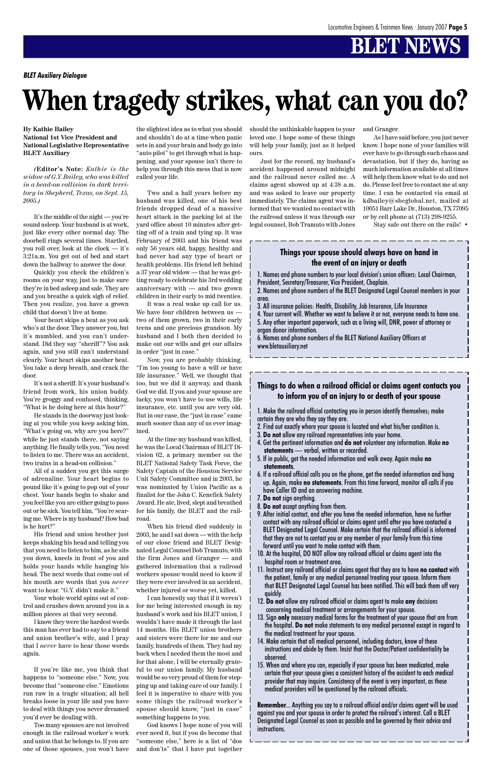### **BLET NEWS**

## **When tragedy strikes, what can you do?**

**By Kathie Bailey National 1st Vice President and National Legislative Representative BLET Auxiliary**

*(***Editor's Note:** *Kathie is the widow of G.Y. Bailey, who was killed in a head-on collision in dark territory in Shepherd, Texas, on Sept. 15, 2005.)*

It's the middle of the night — you're sound asleep. Your husband is at work, just like every other normal day. The doorbell rings several times. Startled, you roll over, look at the clock — it's 3:21a.m. You get out of bed and start down the hallway to answer the door.

Quickly you check the children's rooms on your way, just to make sure they're in bed asleep and safe. They are and you breathe a quick sigh of relief. Then you realize, you have a grown child that doesn't live at home.

Your heart skips a beat as you ask who's at the door. They answer you, but it's mumbled, and you can't understand. Did they say "sheriff"? You ask again, and you still can't understand clearly. Your heart skips another beat. You take a deep breath, and crack the door.

It's not a sheriff. It's your husband's friend from work, his union buddy. You're groggy and confused, thinking, "What is he doing here at this hour?"

He stands in the doorway just looking at you while you keep asking him, "What's going on, why are you here?" while he just stands there, not saying anything. He finally tells you, "You need to listen to me. There was an accident, two trains in a head-on collision."

All of a sudden you get this surge of adrenaline. Your heart begins to pound like it's going to pop out of your chest. Your hands begin to shake and you feel like you are either going to pass out or be sick. You tell him, "You're scaring me. Where is my husband? How bad is he hurt?"

His friend and union brother just keeps shaking his head and telling you that you need to listen to him, as he sits you down, kneels in front of you and holds your hands while hanging his head. The next words that come out of his mouth are words that you *never* want to hear. "G.Y. didn't make it." Your whole world spins out of control and crashes down around you in a million pieces at that very second. I know they were the hardest words this man has ever had to say to a friend and union brother's wife, and I pray that I *never* have to hear those words again.

If you're like me, you think that happens to "someone else." Now, you become that "someone else." Emotions run raw in a tragic situation; all hell breaks loose in your life and you have to deal with things you never dreamed you'd ever be dealing with.

Too many spouses are not involved enough in the railroad worker's work and union that he belongs to. If you are one of those spouses, you won't have

the slightest idea as to what you should and shouldn't do at a time when panic sets in and your brain and body go into "auto pilot" to get through what is happening, and your spouse isn't there to help you through this mess that is now called your life.

Two and a half years before my husband was killed, one of his best friends dropped dead of a massive heart attack in the parking lot at the yard office about 10 minutes after getting off of a train and tying up. It was February of 2003 and his friend was only 56 years old, happy, healthy and had never had any type of heart or health problems. His friend left behind a 37 year old widow — that he was getting ready to celebrate his 3rd wedding anniversary with — and two grown children in their early to mid twenties.

It was a real wake up call for us. We have four children between us two of them grown, two in their early teens and one precious grandson. My husband and I both then decided to make out our wills and get our affairs in order "just in case."

Now, you are probably thinking, "I'm too young to have a will or have life insurance." Well, we thought that too, but we did it anyway, and thank God we did. If you and your spouse are lucky, you won't have to use wills, life insurance, etc. until you are very old. But in our case, the "just in case" came much sooner than any of us ever imagined.

At the time my husband was killed, he was the Local Chairman of BLET Division 62, a primary member on the BLET National Safety Task Force, the Safety Captain of the Houston Service Unit Safety Committee and in 2003, he was nominated by Union Pacific as a finalist for the John C. Kenefick Safety Award. He ate, lived, slept and breathed for his family, the BLET and the railroad.

When his friend died suddenly in 2003, he and I sat down — with the help of our close friend and BLET Designated Legal Counsel Bob Tramuto, with the firm Jones and Granger — and gathered information that a railroad workers spouse would need to know if they were ever involved in an accident, whether injured or worse yet, killed. I can honestly say that if it weren't for me being interested enough in my husband's work and his BLET union, I wouldn't have made it through the last 14 months. His BLET union brothers and sisters were there for me and our family, hundreds of them. They had my back when I needed them the most and for that alone, I will be eternally grateful to our union family. My husband would be so very proud of them for stepping up and taking care of our family. I feel it is imperative to share with you some things the railroad worker's spouse should know, "just in case" something happens to you. God knows I hope none of you will ever need it, but if you do become that "someone else," here is a list of "dos and don'ts" that I have put together

should the unthinkable happen to your loved one. I hope some of these things will help your family, just as it helped ours.

Just for the record, my husband's accident happened around midnight and the railroad never called me. A claims agent showed up at 4:38 a.m. and was asked to leave our property immediately. The claims agent was informed that we wanted no contact with the railroad unless it was through our legal counsel, Bob Tramuto with Jones

1. Names and phone numbers to your local division's union officers: Local Chairman, President, Secretary/Treasurer, Vice President, Chaplain.

2. Names and phone numbers of the BLET Designated Legal Counsel members in your area.

3. All insurance policies: Health, Disability, Job Insurance, Life Insurance

4. Your current will. Whether we want to believe it or not, everyone needs to have one. 5. Any other important paperwork, such as a living will, DNR, power of attorney or organ donor information.

6. Names and phone numbers of the BLET National Auxiliary Officers at www.bletauxiliary.net

and Granger.

As I have said before, you just never know. I hope none of your families will ever have to go through such chaos and devastation, but if they do, having as much information available at all times will help them know what to do and not do. Please feel free to contact me at any time. I can be contacted via email at kdbailey@sbcglobal.net, mailed at 10051 Barr Lake Dr., Houston, TX 77095 or by cell phone at (713) 298-9255.

Stay safe out there on the rails! •

1. Make the railroad official contacting you in person identify themselves; make certain they are who they say they are.

- 2. Find out exactly where your spouse is located and what his/her condition is.
- 3. **Do not** allow any railroad representatives into your home.
- 4. Get the pertinent information and **do not** volunteer any information. Make **no statements** — verbal, written or recorded.
- 5. If in public, get the needed information and walk away. Again make **no statements**.
- 6. If a railroad official calls you on the phone, get the needed information and hang up. Again, make **no statements**. From this time forward, monitor all calls if you have Caller ID and an answering machine.
- 7. **Do not** sign anything.
- 8. **Do not** accept anything from them.
- 9. After initial contact, and after you have the needed information, have no further contact with any railroad official or claims agent until after you have contacted a BLET Designated Legal Counsel. Make certain that the railroad official is informed that they are not to contact you or any member of your family from this time forward until you want to make contact with them.
- 10. At the hospital, DO NOT allow any railroad official or claims agent into the hospital room or treatment area.
- 11. Instruct any railroad official or claims agent that they are to have **no contact** with the patient, family or any medical personnel treating your spouse. Inform them that BLET Designated Legal Counsel has been notified. This will back them off very quickly. 12. **Do not** allow any railroad official or claims agent to make **any** decisions concerning medical treatment or arrangements for your spouse. 13. Sign **only** necessary medical forms for the treatment of your spouse that are from the hospital. **Do not** make statements to any medical personnel except in regard to the medical treatment for your spouse. 14. Make certain that all medical personnel, including doctors, know of these instructions and abide by them. Insist that the Doctor/Patient confidentiality be observed. 15. When and where you can, especially if your spouse has been medicated, make certain that your spouse gives a consistent history of the accident to each medical provider that may inquire. Consistency of the event is very important, as these medical providers will be questioned by the railroad officials.

**Remember**... Anything you say to a railroad official and/or claims agent will be used against you and your spouse in order to protect the railroad's interest. Call a BLET Designated Legal Counsel as soon as possible and be governed by their advice and instructions.

#### **Things your spouse should always have on hand in the event of an injury or death**

#### **Things to do when a railroad official or claims agent contacts you to inform you of an injury to or death of your spouse**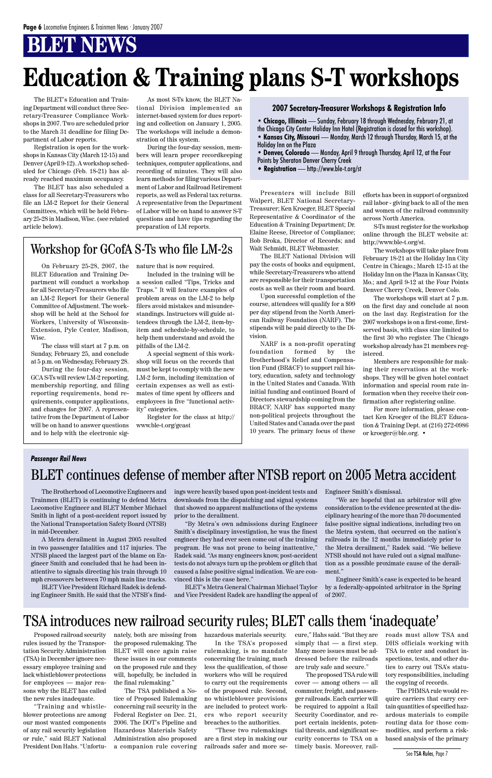### **BLET NEWS**

The BLET's Education and Training Department will conduct three Secretary-Treasurer Compliance Workshops in 2007. Two are scheduled prior to the March 31 deadline for filing Department of Labor reports.

Registration is open for the workshops in Kansas City (March 12-15) and Denver (April 9-12). A workshop scheduled for Chicago (Feb. 18-21) has already reached maximum occupancy.

The BLET has also scheduled a class for all Secretary-Treasurers who file an LM-2 Report for their General Committees, which will be held February 25-28 in Madison, Wisc. (see related article below).

As most S-Ts know, the BLET National Division implemented an internet-based system for dues reporting and collection on January 1, 2005. The workshops will include a demonstration of this system.

During the four-day session, members will learn proper recordkeeping techniques, computer applications, and recording of minutes. They will also learn methods for filing various Department of Labor and Railroad Retirement reports, as well as Federal tax returns. A representative from the Department of Labor will be on hand to answer S-T questions and have tips regarding the preparation of LM reports.

Presenters will include Bill Walpert, BLET National Secretary-Treasurer; Ken Kroeger, BLET Special Representative & Coordinator of the Education & Training Department; Dr. Elaine Reese, Director of Compliance; Bob Broka, Director of Records; and Walt Schmidt, BLET Webmaster.

The BLET National Division will pay the costs of books and equipment, while Secretary-Treasurers who attend are responsible for their transportation costs as well as their room and board.

Upon successful completion of the course, attendees will qualify for a \$99 per day stipend from the North American Railway Foundation (NARF). The stipends will be paid directly to the Division.

NARF is a non-profit operating foundation formed by the Brotherhood's Relief and Compensation Fund (BR&CF) to support rail history, education, safety and technology in the United States and Canada. With initial funding and continued Board of Directors stewardship coming from the BR&CF, NARF has supported many non-political projects throughout the United States and Canada over the past 10 years. The primary focus of these

## **Education & Training plans S-T workshops**

**• Chicago, Illinois** — Sunday, February 18 through Wednesday, February 21, at the Chicago City Center Holiday Inn Hotel (Registration is closed for this workshop). **• Kansas City, Missouri** — Monday, March 12 through Thursday, March 15, at the Holiday Inn on the Plaza

**• Denver, Colorado** — Monday, April 9 through Thursday, April 12, at the Four Points by Sheraton Denver Cherry Creek

• **Registration** — http://www.ble-t.org/st

#### **2007 Secretary-Treasurer Workshops & Registration Info**

efforts has been in support of organized rail labor - giving back to all of the men and women of the railroad community across North America.

S-Ts must register for the workshop online through the BLET website at: http://www.ble-t.org/st.

The workshops will take place from February 18-21 at the Holiday Inn City Centre in Chicago.; March 12-15 at the Holiday Inn on the Plaza in Kansas City, Mo.; and April 9-12 at the Four Points Denver Cherry Creek, Denver Colo.

The workshops will start at 7 p.m. on the first day and conclude at noon on the last day. Registration for the 2007 workshops is on a first-come, firstserved basis, with class size limited to the first 30 who register. The Chicago workshop already has 21 members registered.

Members are responsible for making their reservations at the workshops. They will be given hotel contact information and special room rate information when they receive their confirmation after registering online.

For more information, please contact Ken Kroeger of the BLET Education & Training Dept. at (216) 272-0986 or kroeger@ble.org. •

On February 25-28, 2007, the BLET Education and Training Department will conduct a workshop for all Secretary-Treasurers who file an LM-2 Report for their General Committee of Adjustment. The workshop will be held at the School for Workers, University of Wisconsin-Extension, Pyle Center, Madison, Wisc.

The class will start at 7 p.m. on Sunday, February 25, and conclude at 5 p.m. on Wednesday, February 28.

During the four-day session, GCA S-Ts will review LM-2 reporting, membership reporting, and filing reporting requirements, bond requirements, computer applications, and changes for 2007. A representative from the Department of Labor will be on hand to answer questions and to help with the electronic signature that is now required.

Included in the training will be a session called "Tips, Tricks and Traps." It will feature examples of problem areas on the LM-2 to help filers avoid mistakes and misunderstandings. Instructors will guide attendees through the LM-2, item-byitem and schedule-by-schedule, to help them understand and avoid the pitfalls of the LM-2.

A special segment of this workshop will focus on the records that must be kept to comply with the new LM-2 form, including itemization of certain expenses as well as estimates of time spent by officers and employees in five "functional activity" categories.

Register for the class at http:// www.ble-t.org/gcast

### Workshop for GCofA S-Ts who file LM-2s

The Brotherhood of Locomotive Engineers and Trainmen (BLET) is continuing to defend Metra Locomotive Engineer and BLET Member Michael Smith in light of a post-accident report issued by the National Transportation Safety Board (NTSB) in mid-December.

A Metra derailment in August 2005 resulted in two passenger fatalities and 117 injuries. The NTSB placed the largest part of the blame on Engineer Smith and concluded that he had been inattentive to signals directing his train through 10 mph crossovers between 70 mph main line tracks. BLET Vice President Richard Radek is defending Engineer Smith. He said that the NTSB's findings were heavily based upon post-incident tests and downloads from the dispatching and signal systems that showed no apparent malfunctions of the systems prior to the derailment.

"By Metra's own admissions during Engineer Smith's disciplinary investigation, he was the finest engineer they had ever seen come out of the training program. He was not prone to being inattentive," Radek said. "As many engineers know, post-accident tests do not always turn up the problem or glitch that caused a false positive signal indication. We are convinced this is the case here."

BLET's Metra General Chairman Michael Taylor and Vice President Radek are handling the appeal of

### BLET continues defense of member after NTSB report on 2005 Metra accident

Engineer Smith's dismissal.

"We are hopeful that an arbitrator will give consideration to the evidence presented at the disciplinary hearing of the more than 70 documented false positive signal indications, including two on the Metra system, that occurred on the nation's railroads in the 12 months immediately prior to the Metra derailment," Radek said. "We believe NTSB should not have ruled out a signal malfunction as a possible proximate cause of the derailment." Engineer Smith's case is expected to be heard by a federally-appointed arbitrator in the Spring of 2007.

#### *Passenger Rail News*

### TSA introduces new railroad security rules; BLET calls them 'inadequate'

Proposed railroad security rules issued by the Transportation Security Administration (TSA) in December ignore necessary employee training and lack whistleblower protections for employees — major reasons why the BLET has called the new rules inadequate.

"Training and whistleblower protections are among our most wanted components of any rail security legislation or rule," said BLET National President Don Hahs. "Unfortunately, both are missing from the proposed rulemaking. The BLET will once again raise these issues in our comments on the proposed rule and they will, hopefully, be included in the final rulemaking."

The TSA published a Notice of Proposed Rulemaking concerning rail security in the Federal Register on Dec. 21, 2006. The DOT's Pipeline and Hazardous Materials Safety Administration also proposed a companion rule covering hazardous materials security. In the TSA's proposed rulemaking, is no mandate concerning the training, much less the qualification, of those workers who will be required to carry out the requirements of the proposed rule. Second, no whistleblower provisions are included to protect workers who report security breaches to the authorities.

"These two rulemakings are a first step in making our railroads safer and more secure," Hahs said. "But they are simply that  $-$  a first step. Many more issues must be addressed before the railroads are truly safe and secure."

The proposed TSA rule will cover — among others — all commuter, freight, and passenger railroads. Each carrier will be required to appoint a Rail Security Coordinator, and report certain incidents, potential threats, and significant security concerns to TSA on a timely basis. Moreover, railroads must allow TSA and DHS officials working with TSA to enter and conduct inspections, tests, and other duties to carry out TSA's statutory responsibilities, including the copying of records.

The PHMSA rule would require carriers that carry certain quantities of specified hazardous materials to compile routing data for those commodities, and perform a riskbased analysis of the primary

See TSA Rules, Page 7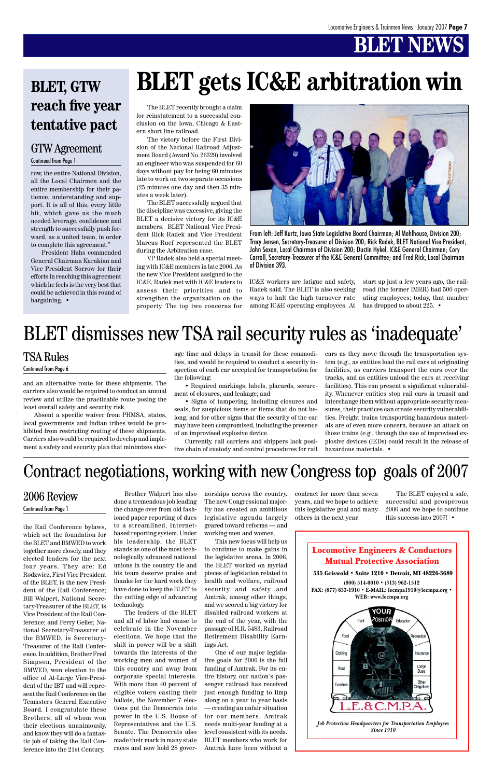### **BELLINGS**

Locomotive Engineers & Conductors Mutual Protective Association



**(800) 514-0010 • (313) 962-1512 FAX: (877) 633-1910 • E-MAIL: lecmpa1910@lecmpa.org • WEB: www.lecmpa.org**



the Rail Conference bylaws, which set the foundation for the BLET and BMWED to work together more closely, and they elected leaders for the next four years. They are: Ed Rodzwicz, First Vice President of the BLET, is the new President of the Rail Conference; Bill Walpert, National Secretary-Treasurer of the BLET, is Vice President of the Rail Conference; and Perry Geller, National Secretary-Treasurer of the BMWED, is Secretary-Treasurer of the Rail Conference. In addition, Brother Fred Simpson, President of the BMWED, won election to the office of At-Large Vice-President of the IBT and will represent the Rail Conference on the Teamsters General Executive Board. I congratulate these Brothers, all of whom won their elections unanimously, and know they will do a fantastic job of taking the Rail Conference into the 21st Century.

Brother Walpert has also

done a tremendous job leading the change over from old fashioned paper reporting of dues to a streamlined, Internetbased reporting system. Under his leadership, the BLET stands as one of the most technologically advanced national unions in the country. He and his team deserve praise and thanks for the hard work they have done to keep the BLET to the cutting edge of advancing technology. The leaders of the BLET and all of labor had cause to celebrate in the November elections. We hope that the shift in power will be a shift towards the interests of the working men and women of this country and away from corporate special interests. With more than 40 percent of eligible voters casting their ballots, the November 7 elections put the Democrats into power in the U.S. House of Representatives and the U.S. Senate. The Democrats also made their mark in many state races and now hold 28 gover-

norships across the country. The new Congressional majority has created an ambitious legislative agenda largely geared toward reforms — and working men and women.

This new focus will help us to continue to make gains in the legislative arena. In 2006, the BLET worked on myriad pieces of legislation related to health and welfare, railroad security and safety and Amtrak, among other things, and we scored a big victory for disabled railroad workers at the end of the year, with the passage of H.R. 5483, Railroad Retirement Disability Earnings Act. One of our major legislative goals for 2006 is the full funding of Amtrak. For its entire history, our nation's passenger railroad has received just enough funding to limp along on a year to year basis — creating an unfair situation for our members. Amtrak needs multi-year funding at a level consistent with its needs. BLET members who work for Amtrak have been without a

contract for more than seven years, and we hope to achieve this legislative goal and many others in the next year.

The BLET enjoyed a safe, successful and prosperous 2006 and we hope to continue this success into 2007! •

### 2006 Review

#### Continued from Page 1

and an alternative route for these shipments. The carriers also would be required to conduct an annual review and utilize the practicable route posing the least overall safety and security risk.

start up just a few years ago, the railroad (the former IMRR) had 500 operating employees; today, that number has dropped to about 225. •

Absent a specific waiver from PHMSA, states, local governments and Indian tribes would be prohibited from restricting routing of these shipments. Carriers also would be required to develop and implement a safety and security plan that minimizes storage time and delays in transit for these commodities, and would be required to conduct a security inspection of each car accepted for transportation for the following:

• Required markings, labels, placards, securement of closures, and leakage; and

• Signs of tampering, including closures and seals, for suspicious items or items that do not belong, and for other signs that the security of the car may have been compromised, including the presence of an improvised explosive device.

Currently, rail carriers and shippers lack positive chain of custody and control procedures for rail cars as they move through the transportation system (e.g., as entities load the rail cars at originating facilities, as carriers transport the cars over the tracks, and as entities unload the cars at receiving facilities). This can present a significant vulnerability. Whenever entities stop rail cars in transit and interchange them without appropriate security measures, their practices can create security vulnerabilities. Freight trains transporting hazardous materials are of even more concern, because an attack on those trains (e.g., through the use of improvised explosive devices (IEDs) could result in the release of hazardous materials. •

#### TSA Rules

#### Continued from Page 6

row, the entire National Division, all the Local Chairmen and the entire membership for their patience, understanding and support. It is all of this, every little bit, which gave us the much needed leverage, confidence and strength to successfully push forward, as a united team, in order to complete this agreement."

President Hahs commended General Chairman Karakian and Vice President Sorrow for their efforts in reaching this agreement which he feels is the very best that could be achieved in this round of bargaining. •

#### GTW Agreement Continued from Page 1

### Contract negotiations, working with new Congress top goals of 2007

### BLET dismisses new TSA rail security rules as 'inadequate'

### **BLET, GTW reach five year tentative pact**

## **BLET gets IC&E arbitration win**



From left: Jeff Kurtz, Iowa State Legislative Board Chairman; Al Mehlhouse, Division 200; Tracy Jensen, Secretary-Treasurer of Division 200; Rick Radek, BLET National Vice President; John Sexon, Local Chairman of Division 200; Dustin Hykel, IC&E General Chairman; Cory Carroll, Secretary-Treasurer of the IC&E General Committee; and Fred Rick, Local Chairman of Division 393.

The BLET recently brought a claim for reinstatement to a successful conclusion on the Iowa, Chicago & Eastern short line railroad.

The victory before the First Division of the National Railroad Adjustment Board (Award No. 26329) involved an engineer who was suspended for 60 days without pay for being 60 minutes late to work on two separate occasions (25 minutes one day and then 35 minutes a week later).

The BLET successfully argued that the discipline was excessive, giving the BLET a decisive victory for its IC&E members. BLET National Vice President Rick Radek and Vice President Marcus Ruef represented the BLET during the Arbitration case.

VP Radek also held a special meeting with IC&E members in late 2006. As the new Vice President assigned to the IC&E, Radek met with IC&E leaders to assess their priorities and to strengthen the organization on the property. The top two concerns for

IC&E workers are fatigue and safety, Radek said. The BLET is also seeking ways to halt the high turnover rate among IC&E operating employees. At